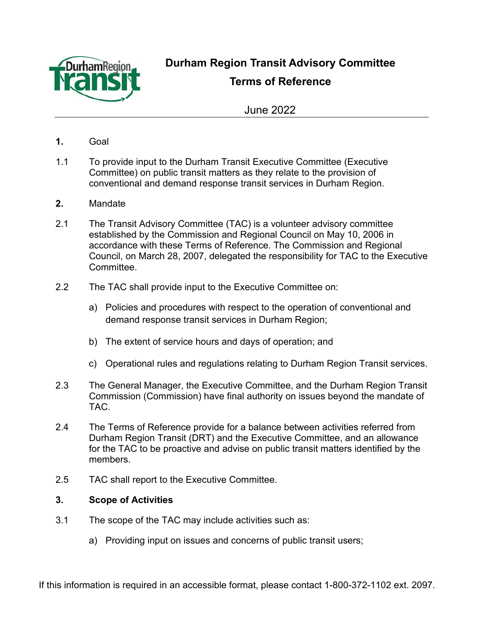

**Durham Region Transit Advisory Committee** 

**Terms of Reference**

June 2022

- **1.** Goal
- 1.1 To provide input to the Durham Transit Executive Committee (Executive Committee) on public transit matters as they relate to the provision of conventional and demand response transit services in Durham Region.
- **2.** Mandate
- 2.1 The Transit Advisory Committee (TAC) is a volunteer advisory committee established by the Commission and Regional Council on May 10, 2006 in accordance with these Terms of Reference. The Commission and Regional Council, on March 28, 2007, delegated the responsibility for TAC to the Executive **Committee**
- 2.2 The TAC shall provide input to the Executive Committee on:
	- a) Policies and procedures with respect to the operation of conventional and demand response transit services in Durham Region;
	- b) The extent of service hours and days of operation; and
	- c) Operational rules and regulations relating to Durham Region Transit services.
- 2.3 The General Manager, the Executive Committee, and the Durham Region Transit Commission (Commission) have final authority on issues beyond the mandate of TAC.
- 2.4 The Terms of Reference provide for a balance between activities referred from Durham Region Transit (DRT) and the Executive Committee, and an allowance for the TAC to be proactive and advise on public transit matters identified by the members.
- 2.5 TAC shall report to the Executive Committee.

# **3. Scope of Activities**

- 3.1 The scope of the TAC may include activities such as:
	- a) Providing input on issues and concerns of public transit users;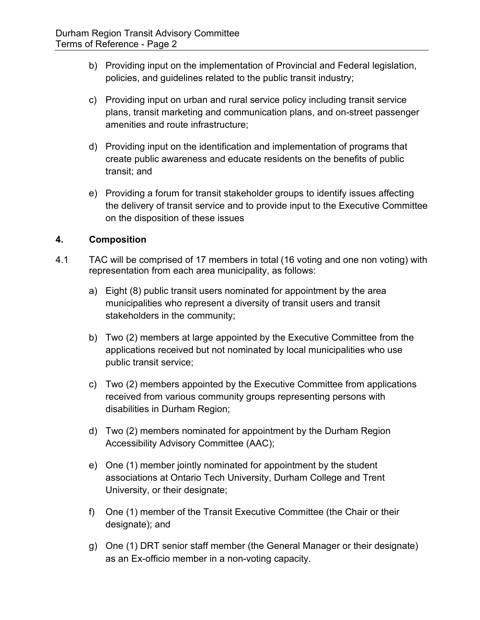- b) Providing input on the implementation of Provincial and Federal legislation, policies, and guidelines related to the public transit industry;
- c) Providing input on urban and rural service policy including transit service plans, transit marketing and communication plans, and on-street passenger amenities and route infrastructure;
- d) Providing input on the identification and implementation of programs that create public awareness and educate residents on the benefits of public transit; and
- e) Providing a forum for transit stakeholder groups to identify issues affecting the delivery of transit service and to provide input to the Executive Committee on the disposition of these issues

# **4. Composition**

- 4.1 TAC will be comprised of 17 members in total (16 voting and one non voting) with representation from each area municipality, as follows:
	- a) Eight (8) public transit users nominated for appointment by the area municipalities who represent a diversity of transit users and transit stakeholders in the community;
	- b) Two (2) members at large appointed by the Executive Committee from the applications received but not nominated by local municipalities who use public transit service;
	- c) Two (2) members appointed by the Executive Committee from applications received from various community groups representing persons with disabilities in Durham Region;
	- d) Two (2) members nominated for appointment by the Durham Region Accessibility Advisory Committee (AAC);
	- e) One (1) member jointly nominated for appointment by the student associations at Ontario Tech University, Durham College and Trent University, or their designate;
	- f) One (1) member of the Transit Executive Committee (the Chair or their designate); and
	- g) One (1) DRT senior staff member (the General Manager or their designate) as an Ex-officio member in a non-voting capacity.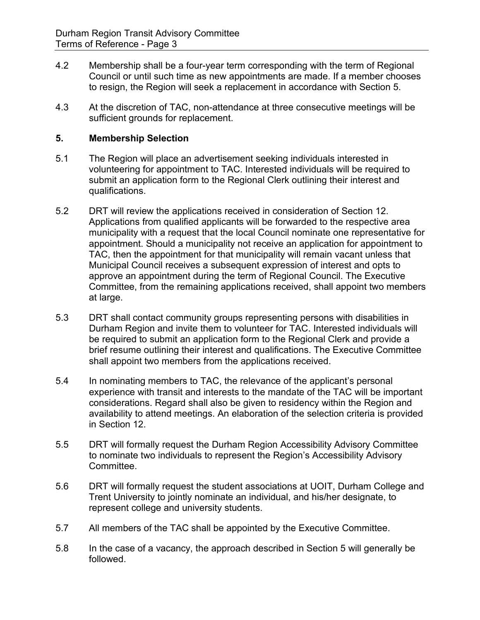- 4.2 Membership shall be a four-year term corresponding with the term of Regional Council or until such time as new appointments are made. If a member chooses to resign, the Region will seek a replacement in accordance with Section 5.
- 4.3 At the discretion of TAC, non-attendance at three consecutive meetings will be sufficient grounds for replacement.

## **5. Membership Selection**

- 5.1 The Region will place an advertisement seeking individuals interested in volunteering for appointment to TAC. Interested individuals will be required to submit an application form to the Regional Clerk outlining their interest and qualifications.
- 5.2 DRT will review the applications received in consideration of Section 12. Applications from qualified applicants will be forwarded to the respective area municipality with a request that the local Council nominate one representative for appointment. Should a municipality not receive an application for appointment to TAC, then the appointment for that municipality will remain vacant unless that Municipal Council receives a subsequent expression of interest and opts to approve an appointment during the term of Regional Council. The Executive Committee, from the remaining applications received, shall appoint two members at large.
- 5.3 DRT shall contact community groups representing persons with disabilities in Durham Region and invite them to volunteer for TAC. Interested individuals will be required to submit an application form to the Regional Clerk and provide a brief resume outlining their interest and qualifications. The Executive Committee shall appoint two members from the applications received.
- 5.4 In nominating members to TAC, the relevance of the applicant's personal experience with transit and interests to the mandate of the TAC will be important considerations. Regard shall also be given to residency within the Region and availability to attend meetings. An elaboration of the selection criteria is provided in Section 12.
- 5.5 DRT will formally request the Durham Region Accessibility Advisory Committee to nominate two individuals to represent the Region's Accessibility Advisory Committee.
- 5.6 DRT will formally request the student associations at UOIT, Durham College and Trent University to jointly nominate an individual, and his/her designate, to represent college and university students.
- 5.7 All members of the TAC shall be appointed by the Executive Committee.
- 5.8 In the case of a vacancy, the approach described in Section 5 will generally be followed.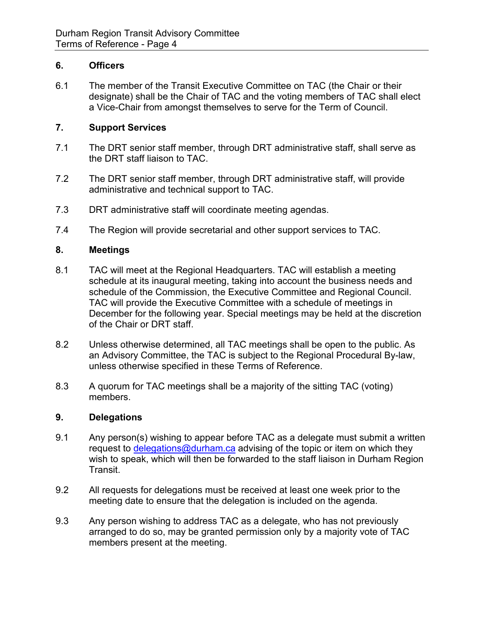#### **6. Officers**

6.1 The member of the Transit Executive Committee on TAC (the Chair or their designate) shall be the Chair of TAC and the voting members of TAC shall elect a Vice-Chair from amongst themselves to serve for the Term of Council.

#### **7. Support Services**

- 7.1 The DRT senior staff member, through DRT administrative staff, shall serve as the DRT staff liaison to TAC.
- 7.2 The DRT senior staff member, through DRT administrative staff, will provide administrative and technical support to TAC.
- 7.3 DRT administrative staff will coordinate meeting agendas.
- 7.4 The Region will provide secretarial and other support services to TAC.

## **8. Meetings**

- 8.1 TAC will meet at the Regional Headquarters. TAC will establish a meeting schedule at its inaugural meeting, taking into account the business needs and schedule of the Commission, the Executive Committee and Regional Council. TAC will provide the Executive Committee with a schedule of meetings in December for the following year. Special meetings may be held at the discretion of the Chair or DRT staff.
- 8.2 Unless otherwise determined, all TAC meetings shall be open to the public. As an Advisory Committee, the TAC is subject to the Regional Procedural By-law, unless otherwise specified in these Terms of Reference.
- 8.3 A quorum for TAC meetings shall be a majority of the sitting TAC (voting) members.

#### **9. Delegations**

- 9.1 Any person(s) wishing to appear before TAC as a delegate must submit a written request to [delegations@durham.ca](mailto:delegations@durham.ca) advising of the topic or item on which they wish to speak, which will then be forwarded to the staff liaison in Durham Region Transit.
- 9.2 All requests for delegations must be received at least one week prior to the meeting date to ensure that the delegation is included on the agenda.
- 9.3 Any person wishing to address TAC as a delegate, who has not previously arranged to do so, may be granted permission only by a majority vote of TAC members present at the meeting.